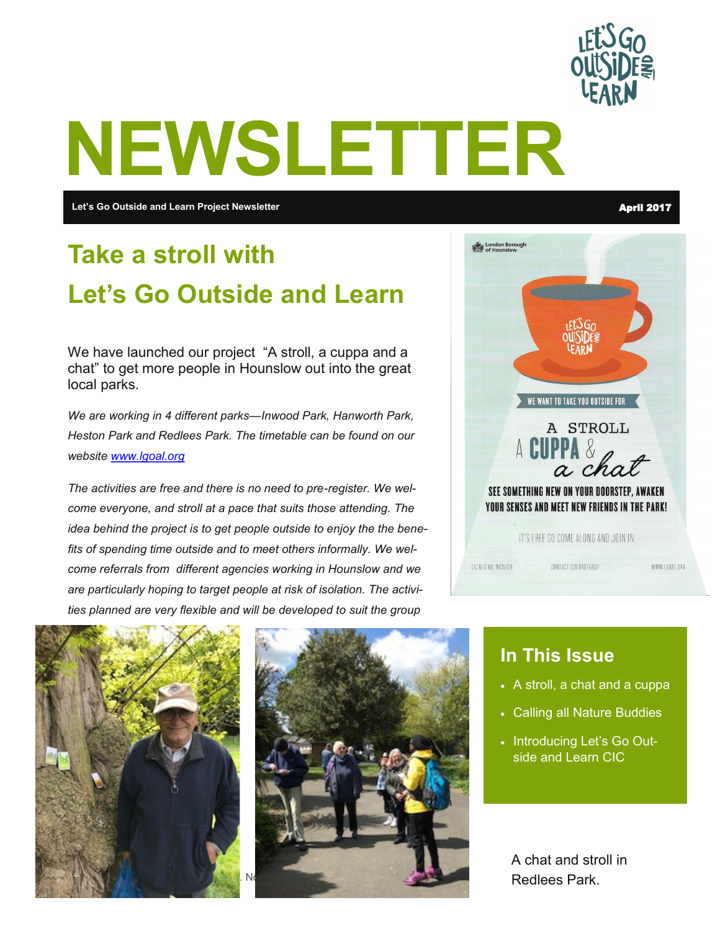

# **NEWSLETTER**

**Let's Go Outside and Learn Project Newsletter** April 2017

## **Take a stroll with Let's Go Outside and Learn**

We have launched our project "A stroll, a cuppa and a chat" to get more people in Hounslow out into the great local parks.

*We are working in 4 different parks—Inwood Park, Hanworth Park, Heston Park and Redlees Park. The timetable can be found on our website [www.lgoal.org](http://www.lgoal.org)*

*The activities are free and there is no need to pre-register. We welcome everyone, and stroll at a pace that suits those attending. The idea behind the project is to get people outside to enjoy the the benefits of spending time outside and to meet others informally. We welcome referrals from different agencies working in Hounslow and we are particularly hoping to target people at risk of isolation. The activities planned are very flexible and will be developed to suit the group* 





#### **In This Issue**

- A stroll, a chat and a cuppa
- Calling all Nature Buddies
- Introducing Let's Go Outside and Learn CIC

A chat and stroll in Redlees Park.